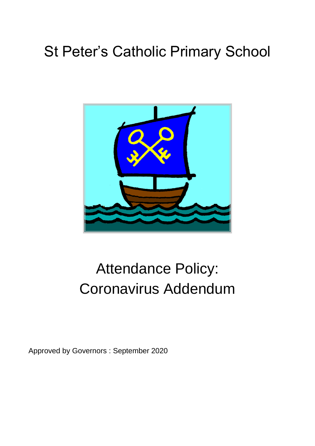# St Peter's Catholic Primary School



# Attendance Policy: Coronavirus Addendum

Approved by Governors : September 2020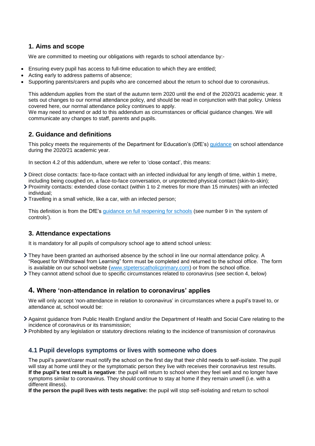# **1. Aims and scope**

We are committed to meeting our obligations with regards to school attendance by:-

- Ensuring every pupil has access to full-time education to which they are entitled;
- Acting early to address patterns of absence;
- Supporting parents/carers and pupils who are concerned about the return to school due to coronavirus.

This addendum applies from the start of the autumn term 2020 until the end of the 2020/21 academic year. It sets out changes to our normal attendance policy, and should be read in conjunction with that policy. Unless covered here, our normal attendance policy continues to apply.

We may need to amend or add to this addendum as circumstances or official guidance changes. We will communicate any changes to staff, parents and pupils.

# **2. Guidance and definitions**

This policy meets the requirements of the Department for Education's (DfE's) [guidance](https://www.gov.uk/government/publications/school-attendance/addendum-recording-attendance-in-relation-to-coronavirus-covid-19-during-the-2020-to-2021-academic-year) on school attendance during the 2020/21 academic year.

In section 4.2 of this addendum, where we refer to 'close contact', this means:

- Direct close contacts: face-to-face contact with an infected individual for any length of time, within 1 metre, including being coughed on, a face-to-face conversation, or unprotected physical contact (skin-to-skin);
- Proximity contacts: extended close contact (within 1 to 2 metres for more than 15 minutes) with an infected individual;
- Travelling in a small vehicle, like a car, with an infected person;

This definition is from the DfE's [guidance on full reopening for schools](https://www.gov.uk/government/publications/actions-for-schools-during-the-coronavirus-outbreak/guidance-for-full-opening-schools) (see number 9 in 'the system of controls').

# **3. Attendance expectations**

It is mandatory for all pupils of compulsory school age to attend school unless:

They have been granted an authorised absence by the school in line our normal attendance policy. A "Request for Withdrawal from Learning" form must be completed and returned to the school office. The form is available on our school website [\(www.stpeterscatholicprimary.com\)](http://www.stpeterscatholicprimary.com/) or from the school office.

They cannot attend school due to specific circumstances related to coronavirus (see section 4, below)

# **4. Where 'non-attendance in relation to coronavirus' applies**

We will only accept 'non-attendance in relation to coronavirus' in circumstances where a pupil's travel to, or attendance at, school would be:

- Against guidance from Public Health England and/or the Department of Health and Social Care relating to the incidence of coronavirus or its transmission;
- Prohibited by any legislation or statutory directions relating to the incidence of transmission of coronavirus

# **4.1 Pupil develops symptoms or lives with someone who does**

The pupil's parent/carer must notify the school on the first day that their child needs to self-isolate. The pupil will stay at home until they or the symptomatic person they live with receives their coronavirus test results. **If the pupil's test result is negative**: the pupil will return to school when they feel well and no longer have symptoms similar to coronavirus. They should continue to stay at home if they remain unwell (i.e. with a different illness).

**If the person the pupil lives with tests negative:** the pupil will stop self-isolating and return to school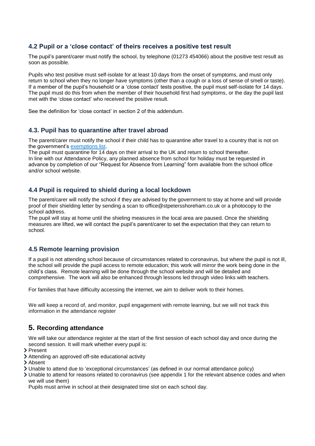### **4.2 Pupil or a 'close contact' of theirs receives a positive test result**

The pupil's parent/carer must notify the school, by telephone (01273 454066) about the positive test result as soon as possible.

Pupils who test positive must self-isolate for at least 10 days from the onset of symptoms, and must only return to school when they no longer have symptoms (other than a cough or a loss of sense of smell or taste). If a member of the pupil's household or a 'close contact' tests positive, the pupil must self-isolate for 14 days. The pupil must do this from when the member of their household first had symptoms, or the day the pupil last met with the 'close contact' who received the positive result.

See the definition for 'close contact' in section 2 of this addendum.

#### **4.3. Pupil has to quarantine after travel abroad**

The parent/carer must notify the school if their child has to quarantine after travel to a country that is not on the government's [exemptions](https://www.gov.uk/guidance/coronavirus-covid-19-travel-corridors#countries-and-territories-with-no-self-isolation-requirement-on-arrival-in-england) list.

The pupil must quarantine for 14 days on their arrival to the UK and return to school thereafter. In line with our Attendance Policy, any planned absence from school for holiday must be requested in advance by completion of our "Request for Absence from Learning" form available from the school office and/or school website.

#### **4.4 Pupil is required to shield during a local lockdown**

The parent/carer will notify the school if they are advised by the government to stay at home and will provide proof of their shielding letter by sending a scan to office@stpetersshoreham.co.uk or a photocopy to the school address.

The pupil will stay at home until the shieling measures in the local area are paused. Once the shielding measures are lifted, we will contact the pupil's parent/carer to set the expectation that they can return to school.

#### **4.5 Remote learning provision**

If a pupil is not attending school because of circumstances related to coronavirus, but where the pupil is not ill, the school will provide the pupil access to remote education; this work will mirror the work being done in the child's class. Remote learning will be done through the school website and will be detailed and comprehensive. The work will also be enhanced through lessons led through video links with teachers.

For families that have difficulty accessing the internet, we aim to deliver work to their homes.

We will keep a record of, and monitor, pupil engagement with remote learning, but we will not track this information in the attendance register

# **5. Recording attendance**

We will take our attendance register at the start of the first session of each school day and once during the second session. It will mark whether every pupil is:

- > Present
- Attending an approved off-site educational activity
- > Absent
- Unable to attend due to 'exceptional circumstances' (as defined in our normal attendance policy)
- Unable to attend for reasons related to coronavirus (see appendix 1 for the relevant absence codes and when we will use them)

Pupils must arrive in school at their designated time slot on each school day.